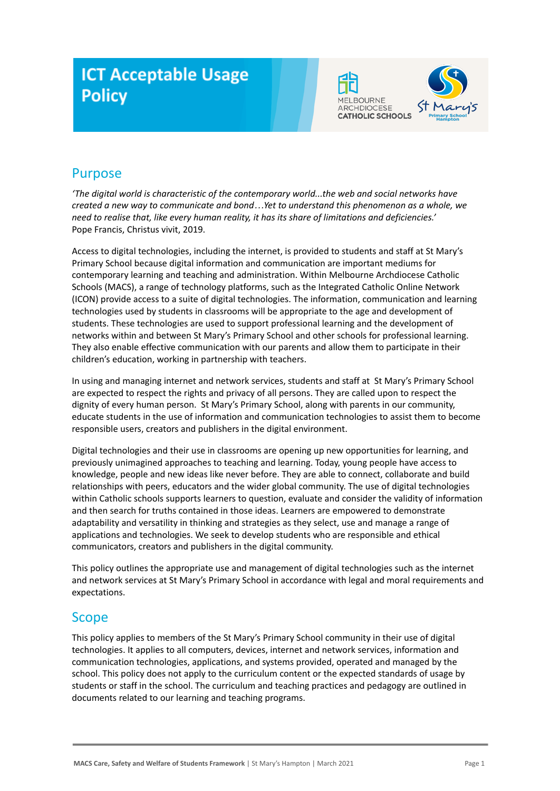# **ICT Acceptable Usage Policy**





# Purpose

*'The digital world is characteristic of the contemporary world...the web and social networks have created a new way to communicate and bond…Yet to understand this phenomenon as a whole, we need to realise that, like every human reality, it has its share of limitations and deficiencies.'* Pope Francis, Christus vivit, 2019.

Access to digital technologies, including the internet, is provided to students and staff at St Mary's Primary School because digital information and communication are important mediums for contemporary learning and teaching and administration. Within Melbourne Archdiocese Catholic Schools (MACS), a range of technology platforms, such as the Integrated Catholic Online Network (ICON) provide access to a suite of digital technologies. The information, communication and learning technologies used by students in classrooms will be appropriate to the age and development of students. These technologies are used to support professional learning and the development of networks within and between St Mary's Primary School and other schools for professional learning. They also enable effective communication with our parents and allow them to participate in their children's education, working in partnership with teachers.

In using and managing internet and network services, students and staff at St Mary's Primary School are expected to respect the rights and privacy of all persons. They are called upon to respect the dignity of every human person. St Mary's Primary School, along with parents in our community, educate students in the use of information and communication technologies to assist them to become responsible users, creators and publishers in the digital environment.

Digital technologies and their use in classrooms are opening up new opportunities for learning, and previously unimagined approaches to teaching and learning. Today, young people have access to knowledge, people and new ideas like never before. They are able to connect, collaborate and build relationships with peers, educators and the wider global community. The use of digital technologies within Catholic schools supports learners to question, evaluate and consider the validity of information and then search for truths contained in those ideas. Learners are empowered to demonstrate adaptability and versatility in thinking and strategies as they select, use and manage a range of applications and technologies. We seek to develop students who are responsible and ethical communicators, creators and publishers in the digital community.

This policy outlines the appropriate use and management of digital technologies such as the internet and network services at St Mary's Primary School in accordance with legal and moral requirements and expectations.

### Scope

This policy applies to members of the St Mary's Primary School community in their use of digital technologies. It applies to all computers, devices, internet and network services, information and communication technologies, applications, and systems provided, operated and managed by the school. This policy does not apply to the curriculum content or the expected standards of usage by students or staff in the school. The curriculum and teaching practices and pedagogy are outlined in documents related to our learning and teaching programs.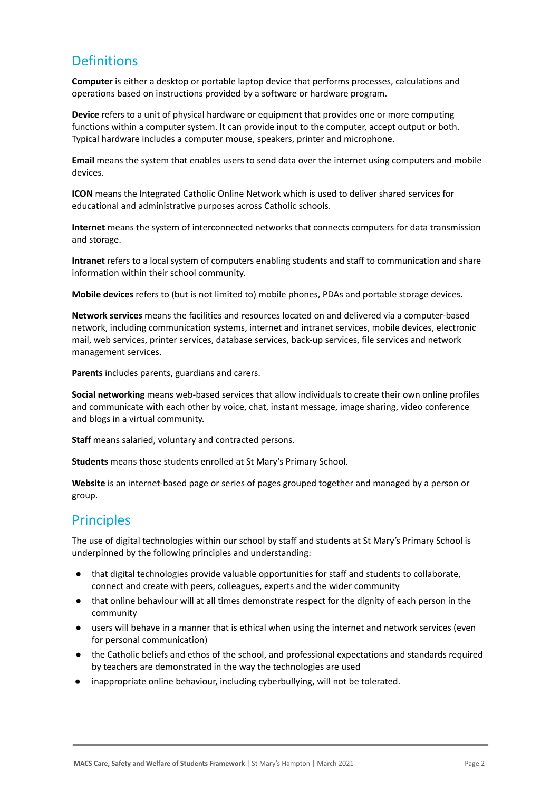## **Definitions**

**Computer** is either a desktop or portable laptop device that performs processes, calculations and operations based on instructions provided by a software or hardware program.

**Device** refers to a unit of physical hardware or equipment that provides one or more computing functions within a computer system. It can provide input to the computer, accept output or both. Typical hardware includes a computer mouse, speakers, printer and microphone.

**Email** means the system that enables users to send data over the internet using computers and mobile devices.

**ICON** means the Integrated Catholic Online Network which is used to deliver shared services for educational and administrative purposes across Catholic schools.

**Internet** means the system of interconnected networks that connects computers for data transmission and storage.

**Intranet** refers to a local system of computers enabling students and staff to communication and share information within their school community.

**Mobile devices** refers to (but is not limited to) mobile phones, PDAs and portable storage devices.

**Network services** means the facilities and resources located on and delivered via a computer-based network, including communication systems, internet and intranet services, mobile devices, electronic mail, web services, printer services, database services, back-up services, file services and network management services.

**Parents** includes parents, guardians and carers.

**Social networking** means web-based services that allow individuals to create their own online profiles and communicate with each other by voice, chat, instant message, image sharing, video conference and blogs in a virtual community.

**Staff** means salaried, voluntary and contracted persons.

**Students** means those students enrolled at St Mary's Primary School.

**Website** is an internet-based page or series of pages grouped together and managed by a person or group.

### **Principles**

The use of digital technologies within our school by staff and students at St Mary's Primary School is underpinned by the following principles and understanding:

- that digital technologies provide valuable opportunities for staff and students to collaborate, connect and create with peers, colleagues, experts and the wider community
- that online behaviour will at all times demonstrate respect for the dignity of each person in the community
- users will behave in a manner that is ethical when using the internet and network services (even for personal communication)
- the Catholic beliefs and ethos of the school, and professional expectations and standards required by teachers are demonstrated in the way the technologies are used
- inappropriate online behaviour, including cyberbullying, will not be tolerated.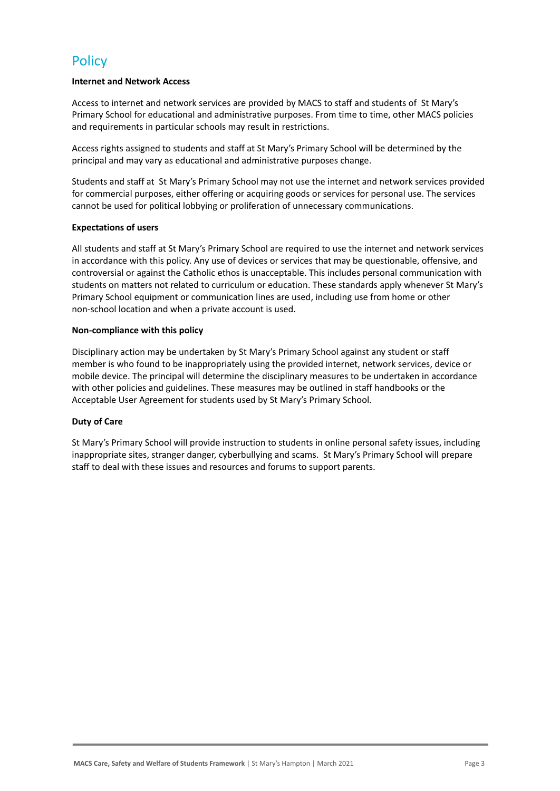## **Policy**

#### **Internet and Network Access**

Access to internet and network services are provided by MACS to staff and students of St Mary's Primary School for educational and administrative purposes. From time to time, other MACS policies and requirements in particular schools may result in restrictions.

Access rights assigned to students and staff at St Mary's Primary School will be determined by the principal and may vary as educational and administrative purposes change.

Students and staff at St Mary's Primary School may not use the internet and network services provided for commercial purposes, either offering or acquiring goods or services for personal use. The services cannot be used for political lobbying or proliferation of unnecessary communications.

#### **Expectations of users**

All students and staff at St Mary's Primary School are required to use the internet and network services in accordance with this policy. Any use of devices or services that may be questionable, offensive, and controversial or against the Catholic ethos is unacceptable. This includes personal communication with students on matters not related to curriculum or education. These standards apply whenever St Mary's Primary School equipment or communication lines are used, including use from home or other non-school location and when a private account is used.

#### **Non-compliance with this policy**

Disciplinary action may be undertaken by St Mary's Primary School against any student or staff member is who found to be inappropriately using the provided internet, network services, device or mobile device. The principal will determine the disciplinary measures to be undertaken in accordance with other policies and guidelines. These measures may be outlined in staff handbooks or the Acceptable User Agreement for students used by St Mary's Primary School.

#### **Duty of Care**

St Mary's Primary School will provide instruction to students in online personal safety issues, including inappropriate sites, stranger danger, cyberbullying and scams. St Mary's Primary School will prepare staff to deal with these issues and resources and forums to support parents.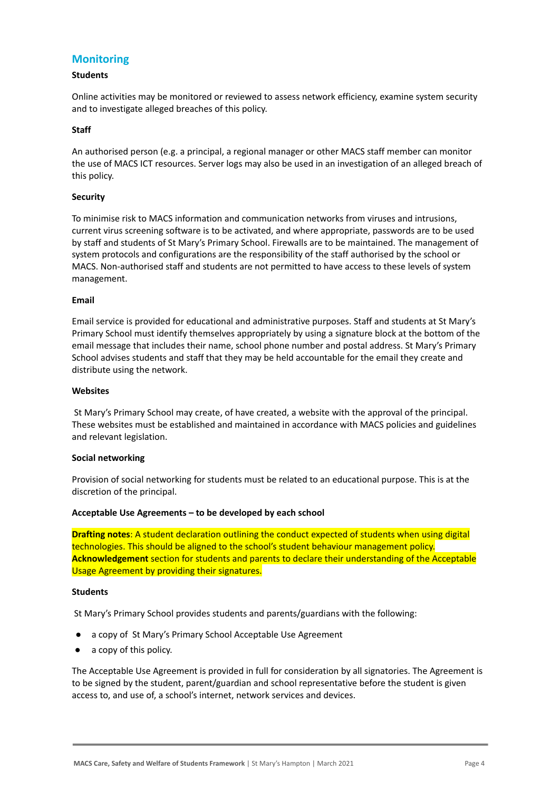### **Monitoring**

#### **Students**

Online activities may be monitored or reviewed to assess network efficiency, examine system security and to investigate alleged breaches of this policy.

#### **Staff**

An authorised person (e.g. a principal, a regional manager or other MACS staff member can monitor the use of MACS ICT resources. Server logs may also be used in an investigation of an alleged breach of this policy.

#### **Security**

To minimise risk to MACS information and communication networks from viruses and intrusions, current virus screening software is to be activated, and where appropriate, passwords are to be used by staff and students of St Mary's Primary School. Firewalls are to be maintained. The management of system protocols and configurations are the responsibility of the staff authorised by the school or MACS. Non-authorised staff and students are not permitted to have access to these levels of system management.

#### **Email**

Email service is provided for educational and administrative purposes. Staff and students at St Mary's Primary School must identify themselves appropriately by using a signature block at the bottom of the email message that includes their name, school phone number and postal address. St Mary's Primary School advises students and staff that they may be held accountable for the email they create and distribute using the network.

#### **Websites**

St Mary's Primary School may create, of have created, a website with the approval of the principal. These websites must be established and maintained in accordance with MACS policies and guidelines and relevant legislation.

#### **Social networking**

Provision of social networking for students must be related to an educational purpose. This is at the discretion of the principal.

#### **Acceptable Use Agreements – to be developed by each school**

**Drafting notes**: A student declaration outlining the conduct expected of students when using digital technologies. This should be aligned to the school's student behaviour management policy. **Acknowledgement** section for students and parents to declare their understanding of the Acceptable Usage Agreement by providing their signatures.

#### **Students**

St Mary's Primary School provides students and parents/guardians with the following:

- a copy of St Mary's Primary School Acceptable Use Agreement
- a copy of this policy.

The Acceptable Use Agreement is provided in full for consideration by all signatories. The Agreement is to be signed by the student, parent/guardian and school representative before the student is given access to, and use of, a school's internet, network services and devices.